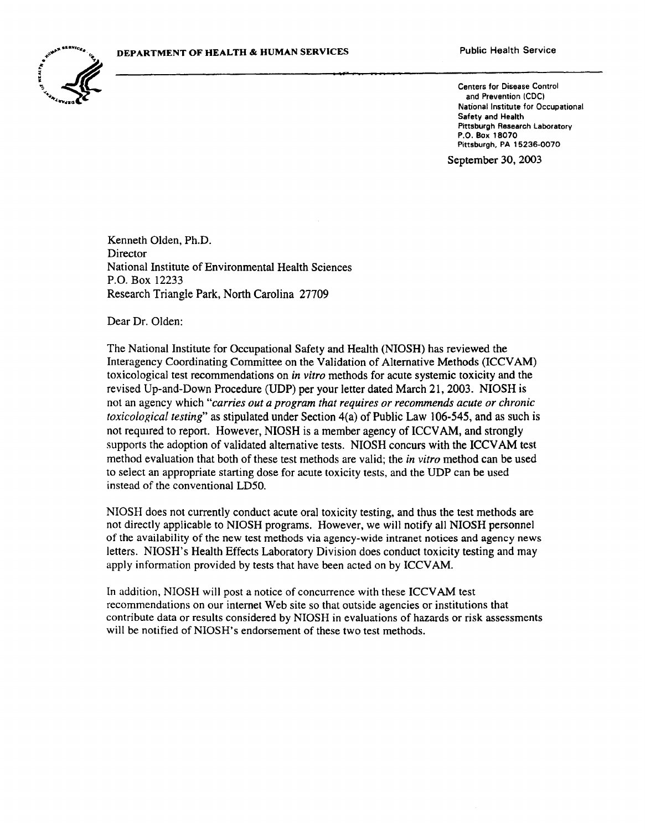

and Prevention (CDC) National Institute for Occupational Safety and Health Pittsburgh Research laboratory P.O. Box 18070 Pittsburgh, PA 15236-0070

September 30, 2003

Kenneth Olden, Ph.D. Director National Institute of Environmental Health Sciences P.O. Box 12233 Research Triangle Park, North Carolina 27709

Dear Dr. Olden:

The National Institute for Occupational Safety and Health (NIOSH) has reviewed the Interagency Coordinating Committee on the Validation of Alternative Methods (ICCVAM) toxicological test recommendations on *in vitro* methods for acute systemic toxicity and the revised Up-and-Down Procedure (UDP) per your letter dated March 21, 2003. NIOSH is not an agency which *"carries out a program that requires or recommends acute or chronic toxicological testing*" as stipulated under Section 4(a) of Public Law 106-545, and as such is not required to report. However, NIOSH is a member agency of ICCVAM, and strongly supports the adoption of validated alternative tests. NIOSH concurs with the ICCV AM test method evaluation that both of these test methods are valid; the *in vitro* method can be used to select an appropriate starting dose for acute toxicity tests, and the UDP can be used instead of the conventional LD50.

NIOSH does not currently conduct acute oral toxicity testing, and thus the test methods are not directly applicable to NIOSH programs. However, we will notify all NIOSH personnel of the availability of the new test methods via agency-wide intranet notices and agency news letters. NIOSH's Health Effects Laboratory Division does conduct toxicity testing and may apply information provided by tests that have been acted on by ICCV AM.

In addition, NIOSH will post a notice of concurrence with these ICCV AM test recommendations on our internet Web site so that outside agencies or institutions that contribute data or results considered by NIOSH in evaluations of hazards or risk assessments will be notified of NIOSH's endorsement of these two test methods.